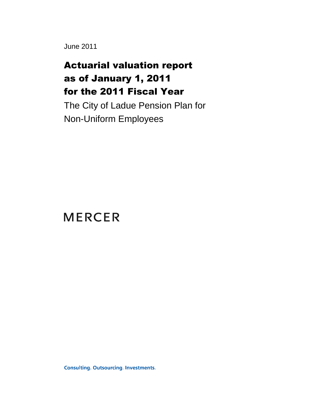June 2011

## Actuarial valuation report as of January 1, 2011 for the 2011 Fiscal Year

The City of Ladue Pension Plan for Non-Uniform Employees

**MERCER** 

**Consulting. Outsourcing. Investments.**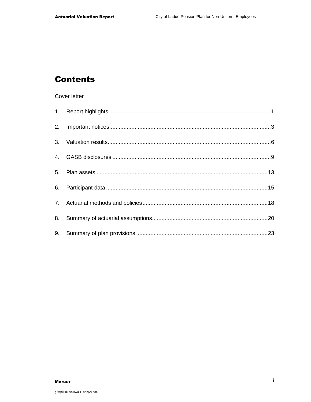### **Contents**

#### Cover letter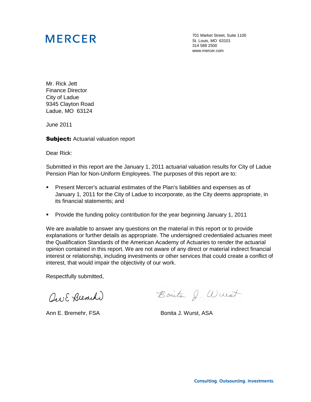# **MERCER**

701 Market Street, Suite 1100 St. Louis, MO 63101 314 588 2500 www.mercer.com

Mr. Rick Jett Finance Director City of Ladue 9345 Clayton Road Ladue, MO 63124

June 2011

**Subject:** Actuarial valuation report

Dear Rick:

Submitted in this report are the January 1, 2011 actuarial valuation results for City of Ladue Pension Plan for Non-Uniform Employees. The purposes of this report are to:

- Present Mercer's actuarial estimates of the Plan's liabilities and expenses as of January 1, 2011 for the City of Ladue to incorporate, as the City deems appropriate, in its financial statements; and
- **Provide the funding policy contribution for the year beginning January 1, 2011**

We are available to answer any questions on the material in this report or to provide explanations or further details as appropriate. The undersigned credentialed actuaries meet the Qualification Standards of the American Academy of Actuaries to render the actuarial opinion contained in this report. We are not aware of any direct or material indirect financial interest or relationship, including investments or other services that could create a conflict of interest, that would impair the objectivity of our work.

Respectfully submitted,

Que E Brench

Ann E. Bremehr, FSA Bonita J. Wurst, ASA

Bouto J. Wurst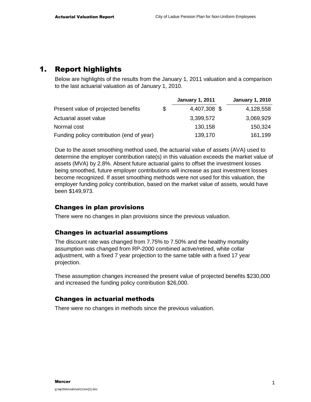### 1. Report highlights

Below are highlights of the results from the January 1, 2011 valuation and a comparison to the last actuarial valuation as of January 1, 2010.

|                                           |   | <b>January 1, 2011</b> | <b>January 1, 2010</b> |
|-------------------------------------------|---|------------------------|------------------------|
| Present value of projected benefits       | S | 4,407,308 \$           | 4,128,558              |
| Actuarial asset value                     |   | 3,399,572              | 3,069,929              |
| Normal cost                               |   | 130,158                | 150,324                |
| Funding policy contribution (end of year) |   | 139,170                | 161,199                |

Due to the asset smoothing method used, the actuarial value of assets (AVA) used to determine the employer contribution rate(s) in this valuation exceeds the market value of assets (MVA) by 2.8%. Absent future actuarial gains to offset the investment losses being smoothed, future employer contributions will increase as past investment losses become recognized. If asset smoothing methods were not used for this valuation, the employer funding policy contribution, based on the market value of assets, would have been \$149,973.

### Changes in plan provisions

There were no changes in plan provisions since the previous valuation.

### Changes in actuarial assumptions

The discount rate was changed from 7.75% to 7.50% and the healthy mortality assumption was changed from RP-2000 combined active/retired, white collar adjustment, with a fixed 7 year projection to the same table with a fixed 17 year projection.

These assumption changes increased the present value of projected benefits \$230,000 and increased the funding policy contribution \$26,000.

### Changes in actuarial methods

There were no changes in methods since the previous valuation.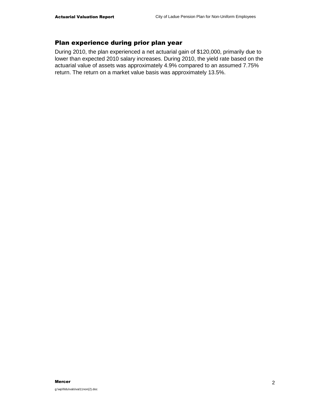#### Plan experience during prior plan year

During 2010, the plan experienced a net actuarial gain of \$120,000, primarily due to lower than expected 2010 salary increases. During 2010, the yield rate based on the actuarial value of assets was approximately 4.9% compared to an assumed 7.75% return. The return on a market value basis was approximately 13.5%.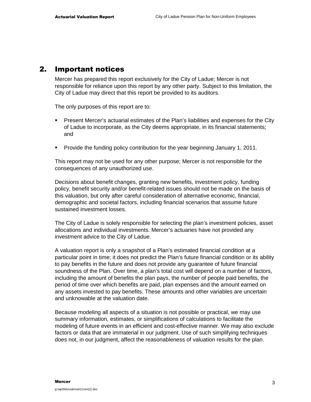### 2. Important notices

Mercer has prepared this report exclusively for the City of Ladue; Mercer is not responsible for reliance upon this report by any other party. Subject to this limitation, the City of Ladue may direct that this report be provided to its auditors.

The only purposes of this report are to:

- Present Mercer's actuarial estimates of the Plan's liabilities and expenses for the City of Ladue to incorporate, as the City deems appropriate, in its financial statements; and
- **Provide the funding policy contribution for the year beginning January 1, 2011.**

This report may not be used for any other purpose; Mercer is not responsible for the consequences of any unauthorized use.

Decisions about benefit changes, granting new benefits, investment policy, funding policy, benefit security and/or benefit-related issues should not be made on the basis of this valuation, but only after careful consideration of alternative economic, financial, demographic and societal factors, including financial scenarios that assume future sustained investment losses.

The City of Ladue is solely responsible for selecting the plan's investment policies, asset allocations and individual investments. Mercer's actuaries have not provided any investment advice to the City of Ladue.

A valuation report is only a snapshot of a Plan's estimated financial condition at a particular point in time; it does not predict the Plan's future financial condition or its ability to pay benefits in the future and does not provide any guarantee of future financial soundness of the Plan. Over time, a plan's total cost will depend on a number of factors, including the amount of benefits the plan pays, the number of people paid benefits, the period of time over which benefits are paid, plan expenses and the amount earned on any assets invested to pay benefits. These amounts and other variables are uncertain and unknowable at the valuation date.

Because modeling all aspects of a situation is not possible or practical, we may use summary information, estimates, or simplifications of calculations to facilitate the modeling of future events in an efficient and cost-effective manner. We may also exclude factors or data that are immaterial in our judgment. Use of such simplifying techniques does not, in our judgment, affect the reasonableness of valuation results for the plan.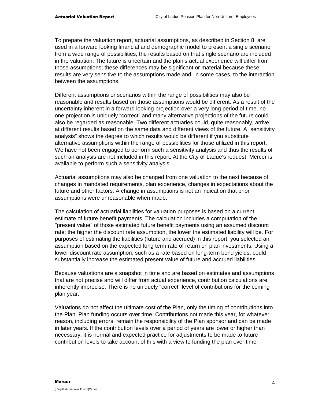To prepare the valuation report, actuarial assumptions, as described in Section 8, are used in a forward looking financial and demographic model to present a single scenario from a wide range of possibilities; the results based on that single scenario are included in the valuation. The future is uncertain and the plan's actual experience will differ from those assumptions; these differences may be significant or material because these results are very sensitive to the assumptions made and, in some cases, to the interaction between the assumptions.

Different assumptions or scenarios within the range of possibilities may also be reasonable and results based on those assumptions would be different. As a result of the uncertainty inherent in a forward looking projection over a very long period of time, no one projection is uniquely "correct" and many alternative projections of the future could also be regarded as reasonable. Two different actuaries could, quite reasonably, arrive at different results based on the same data and different views of the future. A "sensitivity analysis" shows the degree to which results would be different if you substitute alternative assumptions within the range of possibilities for those utilized in this report. We have not been engaged to perform such a sensitivity analysis and thus the results of such an analysis are not included in this report. At the City of Ladue's request, Mercer is available to perform such a sensitivity analysis.

Actuarial assumptions may also be changed from one valuation to the next because of changes in mandated requirements, plan experience, changes in expectations about the future and other factors. A change in assumptions is not an indication that prior assumptions were unreasonable when made.

The calculation of actuarial liabilities for valuation purposes is based on a current estimate of future benefit payments. The calculation includes a computation of the "present value" of those estimated future benefit payments using an assumed discount rate; the higher the discount rate assumption, the lower the estimated liability will be. For purposes of estimating the liabilities (future and accrued) in this report, you selected an assumption based on the expected long term rate of return on plan investments. Using a lower discount rate assumption, such as a rate based on long-term bond yields, could substantially increase the estimated present value of future and accrued liabilities.

Because valuations are a snapshot in time and are based on estimates and assumptions that are not precise and will differ from actual experience, contribution calculations are inherently imprecise. There is no uniquely "correct" level of contributions for the coming plan year.

Valuations do not affect the ultimate cost of the Plan, only the timing of contributions into the Plan. Plan funding occurs over time. Contributions not made this year, for whatever reason, including errors, remain the responsibility of the Plan sponsor and can be made in later years. If the contribution levels over a period of years are lower or higher than necessary, it is normal and expected practice for adjustments to be made to future contribution levels to take account of this with a view to funding the plan over time.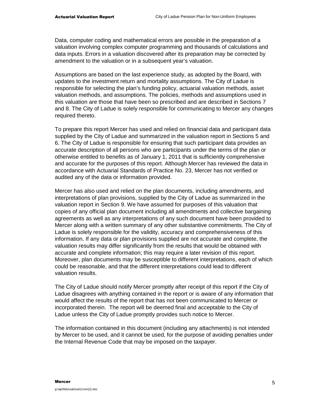Data, computer coding and mathematical errors are possible in the preparation of a valuation involving complex computer programming and thousands of calculations and data inputs. Errors in a valuation discovered after its preparation may be corrected by amendment to the valuation or in a subsequent year's valuation.

Assumptions are based on the last experience study, as adopted by the Board, with updates to the investment return and mortality assumptions. The City of Ladue is responsible for selecting the plan's funding policy, actuarial valuation methods, asset valuation methods, and assumptions. The policies, methods and assumptions used in this valuation are those that have been so prescribed and are described in Sections 7 and 8. The City of Ladue is solely responsible for communicating to Mercer any changes required thereto.

To prepare this report Mercer has used and relied on financial data and participant data supplied by the City of Ladue and summarized in the valuation report in Sections 5 and 6. The City of Ladue is responsible for ensuring that such participant data provides an accurate description of all persons who are participants under the terms of the plan or otherwise entitled to benefits as of January 1, 2011 that is sufficiently comprehensive and accurate for the purposes of this report. Although Mercer has reviewed the data in accordance with Actuarial Standards of Practice No. 23, Mercer has not verified or audited any of the data or information provided.

Mercer has also used and relied on the plan documents, including amendments, and interpretations of plan provisions, supplied by the City of Ladue as summarized in the valuation report in Section 9. We have assumed for purposes of this valuation that copies of any official plan document including all amendments and collective bargaining agreements as well as any interpretations of any such document have been provided to Mercer along with a written summary of any other substantive commitments. The City of Ladue is solely responsible for the validity, accuracy and comprehensiveness of this information. If any data or plan provisions supplied are not accurate and complete, the valuation results may differ significantly from the results that would be obtained with accurate and complete information; this may require a later revision of this report. Moreover, plan documents may be susceptible to different interpretations, each of which could be reasonable, and that the different interpretations could lead to different valuation results.

The City of Ladue should notify Mercer promptly after receipt of this report if the City of Ladue disagrees with anything contained in the report or is aware of any information that would affect the results of the report that has not been communicated to Mercer or incorporated therein. The report will be deemed final and acceptable to the City of Ladue unless the City of Ladue promptly provides such notice to Mercer.

The information contained in this document (including any attachments) is not intended by Mercer to be used, and it cannot be used, for the purpose of avoiding penalties under the Internal Revenue Code that may be imposed on the taxpayer.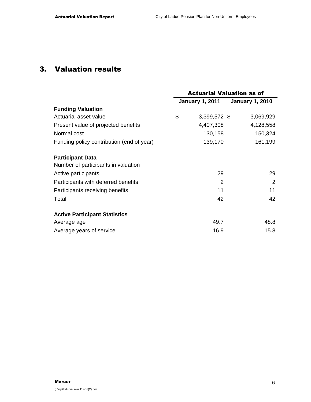### 3. Valuation results

|                                           | <b>Actuarial Valuation as of</b> |                        |                        |  |  |  |
|-------------------------------------------|----------------------------------|------------------------|------------------------|--|--|--|
|                                           |                                  | <b>January 1, 2011</b> | <b>January 1, 2010</b> |  |  |  |
| <b>Funding Valuation</b>                  |                                  |                        |                        |  |  |  |
| Actuarial asset value                     | \$                               | 3,399,572 \$           | 3,069,929              |  |  |  |
| Present value of projected benefits       |                                  | 4,407,308              | 4,128,558              |  |  |  |
| Normal cost                               |                                  | 130,158                | 150,324                |  |  |  |
| Funding policy contribution (end of year) |                                  | 139,170                | 161,199                |  |  |  |
| <b>Participant Data</b>                   |                                  |                        |                        |  |  |  |
| Number of participants in valuation       |                                  |                        |                        |  |  |  |
| Active participants                       |                                  | 29                     | 29                     |  |  |  |
| Participants with deferred benefits       |                                  | 2                      | 2                      |  |  |  |
| Participants receiving benefits           |                                  | 11                     | 11                     |  |  |  |
| Total                                     |                                  | 42                     | 42                     |  |  |  |
| <b>Active Participant Statistics</b>      |                                  |                        |                        |  |  |  |
| Average age                               |                                  | 49.7                   | 48.8                   |  |  |  |
| Average years of service                  |                                  | 16.9                   | 15.8                   |  |  |  |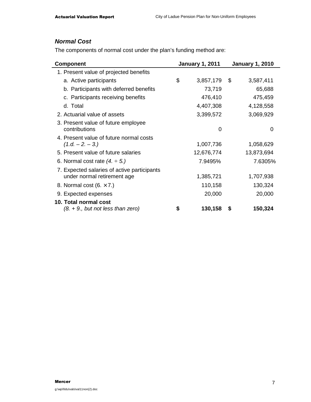### **Normal Cost**

The components of normal cost under the plan's funding method are:

| <b>Component</b>                                                           | <b>January 1, 2011</b> | <b>January 1, 2010</b> |            |  |
|----------------------------------------------------------------------------|------------------------|------------------------|------------|--|
| 1. Present value of projected benefits                                     |                        |                        |            |  |
| a. Active participants                                                     | \$<br>3,857,179        | \$                     | 3,587,411  |  |
| b. Participants with deferred benefits                                     | 73,719                 |                        | 65,688     |  |
| c. Participants receiving benefits                                         | 476,410                |                        | 475,459    |  |
| d. Total                                                                   | 4,407,308              |                        | 4,128,558  |  |
| 2. Actuarial value of assets                                               | 3,399,572              |                        | 3,069,929  |  |
| 3. Present value of future employee<br>contributions                       | 0                      |                        | 0          |  |
| 4. Present value of future normal costs<br>$(1.d. -2. -3.)$                | 1,007,736              |                        | 1,058,629  |  |
| 5. Present value of future salaries                                        | 12,676,774             |                        | 13,873,694 |  |
| 6. Normal cost rate $(4 \div 5)$ .                                         | 7.9495%                |                        | 7.6305%    |  |
| 7. Expected salaries of active participants<br>under normal retirement age | 1,385,721              |                        | 1,707,938  |  |
| 8. Normal cost $(6. \times 7.)$                                            | 110,158                |                        | 130,324    |  |
| 9. Expected expenses                                                       | 20,000                 |                        | 20,000     |  |
| 10. Total normal cost                                                      |                        |                        |            |  |
| (8. + 9., but not less than zero)                                          | \$<br>130,158          | \$                     | 150,324    |  |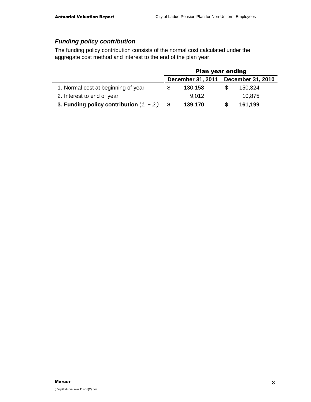### **Funding policy contribution**

The funding policy contribution consists of the normal cost calculated under the aggregate cost method and interest to the end of the plan year.

|                                          | <b>Plan year ending</b> |                          |  |                          |  |  |  |  |
|------------------------------------------|-------------------------|--------------------------|--|--------------------------|--|--|--|--|
|                                          |                         | <b>December 31, 2011</b> |  | <b>December 31, 2010</b> |  |  |  |  |
| 1. Normal cost at beginning of year      |                         | 130,158                  |  | 150,324                  |  |  |  |  |
| 2. Interest to end of year               |                         | 9,012                    |  | 10,875                   |  |  |  |  |
| 3. Funding policy contribution $(1 + 2)$ |                         | 139,170                  |  | 161,199                  |  |  |  |  |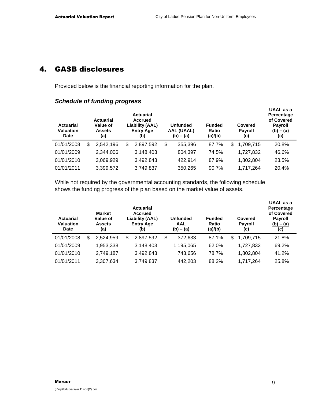### 4. GASB disclosures

Provided below is the financial reporting information for the plan.

| <b>Actuarial</b><br><b>Valuation</b><br>Date | <b>Actuarial</b><br><b>Actuarial</b><br><b>Accrued</b><br>Liability (AAL)<br>Value of<br><b>Entry Age</b><br><b>Assets</b><br>(b)<br>(a) |           | <b>Unfunded</b><br>AAL (UAAL)<br>$(b) - (a)$ | <b>Funded</b><br>Ratio<br>(a)/(b) | Covered<br><b>Payroll</b><br>(c) | UAAL as a<br>Percentage<br>of Covered<br><b>Payroll</b><br><u>(b) – (a)</u><br>(c) |       |
|----------------------------------------------|------------------------------------------------------------------------------------------------------------------------------------------|-----------|----------------------------------------------|-----------------------------------|----------------------------------|------------------------------------------------------------------------------------|-------|
| 01/01/2008                                   | \$                                                                                                                                       | 2,542,196 | \$<br>2,897,592                              | \$<br>355,396                     | 87.7%                            | \$<br>1,709,715                                                                    | 20.8% |
| 01/01/2009                                   |                                                                                                                                          | 2,344,006 | 3,148,403                                    | 804,397                           | 74.5%                            | 1,727,832                                                                          | 46.6% |
| 01/01/2010                                   |                                                                                                                                          | 3,069,929 | 3,492,843                                    | 422,914                           | 87.9%                            | 1,802,804                                                                          | 23.5% |
| 01/01/2011                                   |                                                                                                                                          | 3,399,572 | 3,749,837                                    | 350,265                           | 90.7%                            | 1,717,264                                                                          | 20.4% |

While not required by the governmental accounting standards, the following schedule shows the funding progress of the plan based on the market value of assets.

| <b>Actuarial</b><br><b>Valuation</b><br>Date | <b>Actuarial</b><br><b>Market</b><br><b>Accrued</b><br>Value of<br><b>Entry Age</b><br><b>Assets</b><br>(a)<br>(b) |    | Liability (AAL) | <b>Unfunded</b><br>AAL<br>(b) – (a) |           |  | <b>Funded</b><br>Covered<br>Ratio<br><b>Payroll</b><br>(a)/(b)<br>(c) |   |           | UAAL as a<br>Percentage<br>of Covered<br><b>Payroll</b><br><u>(b) – (a)</u><br>(c) |
|----------------------------------------------|--------------------------------------------------------------------------------------------------------------------|----|-----------------|-------------------------------------|-----------|--|-----------------------------------------------------------------------|---|-----------|------------------------------------------------------------------------------------|
| 01/01/2008                                   | \$<br>2,524,959                                                                                                    | \$ | 2,897,592       | \$                                  | 372,633   |  | 87.1%                                                                 | S | 1,709,715 | 21.8%                                                                              |
| 01/01/2009                                   | 1,953,338                                                                                                          |    | 3,148,403       |                                     | 1,195,065 |  | 62.0%                                                                 |   | 1,727,832 | 69.2%                                                                              |
| 01/01/2010                                   | 2,749,187                                                                                                          |    | 3,492,843       |                                     | 743.656   |  | 78.7%                                                                 |   | 1.802.804 | 41.2%                                                                              |
| 01/01/2011                                   | 3,307,634                                                                                                          |    | 3,749,837       |                                     | 442,203   |  | 88.2%                                                                 |   | 1,717,264 | 25.8%                                                                              |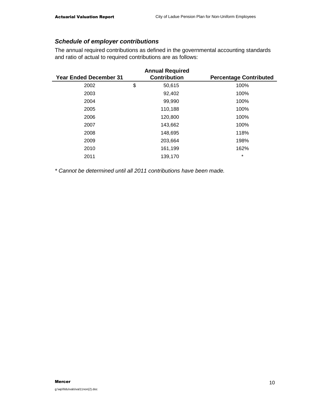#### **Schedule of employer contributions**

The annual required contributions as defined in the governmental accounting standards and ratio of actual to required contributions are as follows:

| <b>Year Ended December 31</b> | <b>Annual Required</b><br><b>Contribution</b> | <b>Percentage Contributed</b> |
|-------------------------------|-----------------------------------------------|-------------------------------|
| 2002                          | \$<br>50,615                                  | 100%                          |
| 2003                          | 92,402                                        | 100%                          |
| 2004                          | 99,990                                        | 100%                          |
| 2005                          | 110,188                                       | 100%                          |
| 2006                          | 120,800                                       | 100%                          |
| 2007                          | 143,662                                       | 100%                          |
| 2008                          | 148,695                                       | 118%                          |
| 2009                          | 203,664                                       | 198%                          |
| 2010                          | 161,199                                       | 162%                          |
| 2011                          | 139,170                                       | $\star$                       |

\* Cannot be determined until all 2011 contributions have been made.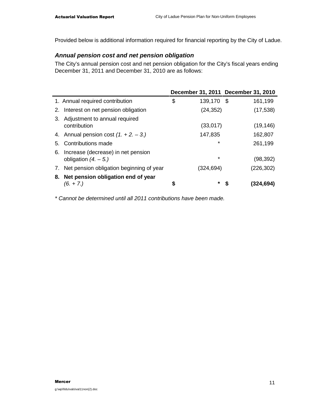Provided below is additional information required for financial reporting by the City of Ladue.

#### **Annual pension cost and net pension obligation**

The City's annual pension cost and net pension obligation for the City's fiscal years ending December 31, 2011 and December 31, 2010 are as follows:

|    |                                             | December 31, 2011 December 31, 2010 |   |           |
|----|---------------------------------------------|-------------------------------------|---|-----------|
|    | 1. Annual required contribution             | \$<br>139,170 \$                    |   | 161,199   |
|    | 2. Interest on net pension obligation       | (24, 352)                           |   | (17, 538) |
| 3. | Adjustment to annual required               |                                     |   |           |
|    | contribution                                | (33,017)                            |   | (19, 146) |
|    | 4. Annual pension cost $(1. + 2. - 3.)$     | 147,835                             |   | 162,807   |
| 5. | Contributions made                          | $\star$                             |   | 261,199   |
| 6. | Increase (decrease) in net pension          |                                     |   |           |
|    | obligation $(4. -5.)$                       | $\star$                             |   | (98, 392) |
|    | 7. Net pension obligation beginning of year | (324,694)                           |   | (226,302) |
|    | 8. Net pension obligation end of year       |                                     |   |           |
|    | $(6. + 7.)$                                 | \$<br>*                             | S | (324,694) |

\* Cannot be determined until all 2011 contributions have been made.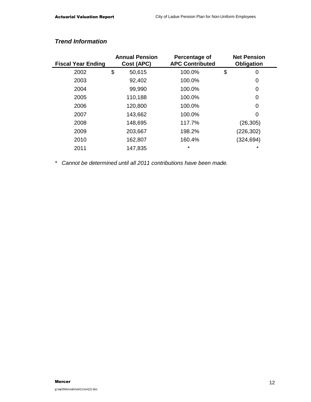| <b>Fiscal Year Ending</b> | <b>Annual Pension</b><br>Cost (APC) | <b>Percentage of</b><br><b>APC Contributed</b> | <b>Net Pension</b><br><b>Obligation</b> |  |
|---------------------------|-------------------------------------|------------------------------------------------|-----------------------------------------|--|
| 2002                      | \$<br>50,615                        | 100.0%                                         | \$<br>0                                 |  |
| 2003                      | 92,402                              | 100.0%                                         | 0                                       |  |
| 2004                      | 99,990                              | 100.0%                                         | 0                                       |  |
| 2005                      | 110,188                             | 100.0%                                         | 0                                       |  |
| 2006                      | 120,800                             | 100.0%                                         | 0                                       |  |
| 2007                      | 143,662                             | 100.0%                                         | 0                                       |  |
| 2008                      | 148,695                             | 117.7%                                         | (26,305)                                |  |
| 2009                      | 203,667                             | 198.2%                                         | (226, 302)                              |  |
| 2010                      | 162,807                             | 160.4%                                         | (324, 694)                              |  |
| 2011                      | 147,835                             | *                                              | $\star$                                 |  |

### **Trend Information**

\* Cannot be determined until all 2011 contributions have been made.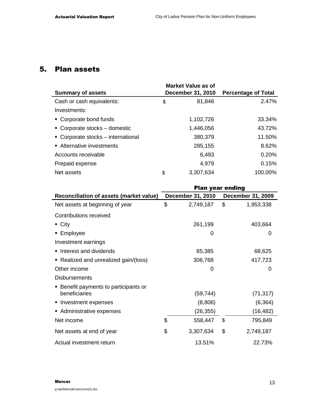### 5. Plan assets

|                 | <b>Percentage of Total</b>                            |
|-----------------|-------------------------------------------------------|
| \$<br>81,846    | 2.47%                                                 |
|                 |                                                       |
| 1,102,726       | 33.34%                                                |
| 1,446,056       | 43.72%                                                |
| 380,379         | 11.50%                                                |
| 285,155         | 8.62%                                                 |
| 6,493           | 0.20%                                                 |
| 4,979           | 0.15%                                                 |
| \$<br>3,307,634 | 100.00%                                               |
|                 | <b>Market Value as of</b><br><b>December 31, 2010</b> |

|                                                        | <b>Plan year ending</b>  |                          |
|--------------------------------------------------------|--------------------------|--------------------------|
| Reconciliation of assets (market value)                | <b>December 31, 2010</b> | <b>December 31, 2009</b> |
| Net assets at beginning of year                        | \$<br>2,749,187          | \$<br>1,953,338          |
| Contributions received                                 |                          |                          |
| $\blacksquare$ City                                    | 261,199                  | 403,664                  |
| ■ Employee                                             | 0                        | O                        |
| Investment earnings                                    |                          |                          |
| Interest and dividends                                 | 85,385                   | 68,625                   |
| • Realized and unrealized gain/(loss)                  | 306,768                  | 417,723                  |
| Other income                                           | 0                        | O                        |
| <b>Disbursements</b>                                   |                          |                          |
| ■ Benefit payments to participants or<br>beneficiaries | (59, 744)                | (71, 317)                |
| • Investment expenses                                  | (8,806)                  | (6, 364)                 |
| • Administrative expenses                              | (26, 355)                | (16, 482)                |
| Net income                                             | \$<br>558,447            | \$<br>795,849            |
| Net assets at end of year                              | \$<br>3,307,634          | \$<br>2,749,187          |
| Actual investment return                               | 13.51%                   | 22.73%                   |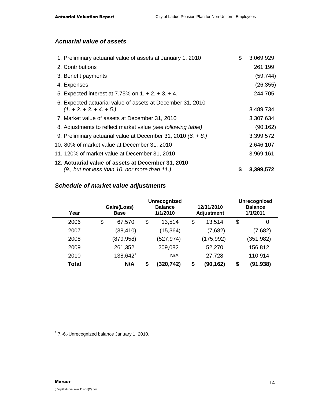#### **Actuarial value of assets**

| 1. Preliminary actuarial value of assets at January 1, 2010     | \$<br>3,069,929 |
|-----------------------------------------------------------------|-----------------|
| 2. Contributions                                                | 261,199         |
| 3. Benefit payments                                             | (59, 744)       |
| 4. Expenses                                                     | (26, 355)       |
| 5. Expected interest at 7.75% on $1. + 2. + 3. + 4.$            | 244,705         |
| 6. Expected actuarial value of assets at December 31, 2010      |                 |
| $(1 + 2 + 3 + 4 + 5)$                                           | 3,489,734       |
| 7. Market value of assets at December 31, 2010                  | 3,307,634       |
| 8. Adjustments to reflect market value (see following table)    | (90, 162)       |
| 9. Preliminary actuarial value at December 31, 2010 $(6. + 8.)$ | 3,399,572       |
| 10. 80% of market value at December 31, 2010                    | 2,646,107       |
| 11. 120% of market value at December 31, 2010                   | 3,969,161       |
| 12. Actuarial value of assets at December 31, 2010              |                 |
| (9., but not less than 10. nor more than 11.)                   | \$<br>3,399,572 |

### **Schedule of market value adjustments**

| Year  | Gain/(Loss)<br><b>Base</b> | <b>Unrecognized</b><br><b>Balance</b><br>1/1/2010 | 12/31/2010<br><b>Adjustment</b> | <b>Unrecognized</b><br><b>Balance</b><br>1/1/2011 |
|-------|----------------------------|---------------------------------------------------|---------------------------------|---------------------------------------------------|
| 2006  | \$<br>67,570               | \$<br>13,514                                      | \$<br>13,514                    | \$<br>0                                           |
| 2007  | (38, 410)                  | (15, 364)                                         | (7,682)                         | (7,682)                                           |
| 2008  | (879, 958)                 | (527, 974)                                        | (175, 992)                      | (351, 982)                                        |
| 2009  | 261,352                    | 209,082                                           | 52,270                          | 156,812                                           |
| 2010  | $138,642^1$                | N/A                                               | 27,728                          | 110,914                                           |
| Total | N/A                        | \$<br>(320,742)                                   | \$<br>(90,162)                  | \$<br>(91, 938)                                   |

 $1$  7.-6.-Unrecognized balance January 1, 2010.

 $\overline{a}$ 

 $\overline{a}$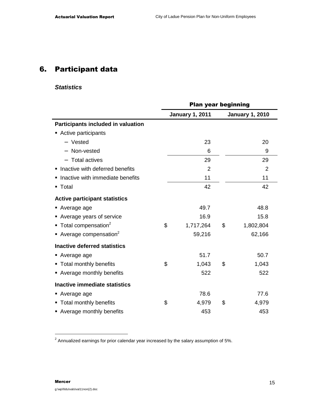### 6. Participant data

#### **Statistics**

|                                                  | <b>Plan year beginning</b> |                        |    |                        |  |
|--------------------------------------------------|----------------------------|------------------------|----|------------------------|--|
|                                                  |                            | <b>January 1, 2011</b> |    | <b>January 1, 2010</b> |  |
| Participants included in valuation               |                            |                        |    |                        |  |
| Active participants                              |                            |                        |    |                        |  |
| - Vested                                         |                            | 23                     |    | 20                     |  |
| Non-vested                                       |                            | 6                      |    | 9                      |  |
| <b>Total actives</b><br>$\overline{\phantom{0}}$ |                            | 29                     |    | 29                     |  |
| • Inactive with deferred benefits                |                            | $\overline{2}$         |    | $\overline{2}$         |  |
| • Inactive with immediate benefits               |                            | 11                     |    | 11                     |  |
| • Total                                          |                            | 42                     |    | 42                     |  |
| <b>Active participant statistics</b>             |                            |                        |    |                        |  |
| ■ Average age                                    |                            | 49.7                   |    | 48.8                   |  |
| • Average years of service                       |                            | 16.9                   |    | 15.8                   |  |
| $\blacksquare$ Total compensation <sup>2</sup>   | \$                         | 1,717,264              | \$ | 1,802,804              |  |
| Average compensation <sup>2</sup>                |                            | 59,216                 |    | 62,166                 |  |
| <b>Inactive deferred statistics</b>              |                            |                        |    |                        |  |
| ■ Average age                                    |                            | 51.7                   |    | 50.7                   |  |
| • Total monthly benefits                         | \$                         | 1,043                  | \$ | 1,043                  |  |
| • Average monthly benefits                       |                            | 522                    |    | 522                    |  |
| <b>Inactive immediate statistics</b>             |                            |                        |    |                        |  |
| ■ Average age                                    |                            | 78.6                   |    | 77.6                   |  |
| • Total monthly benefits                         | \$                         | 4,979                  | \$ | 4,979                  |  |
| • Average monthly benefits                       |                            | 453                    |    | 453                    |  |

 $2$  Annualized earnings for prior calendar year increased by the salary assumption of 5%.

 $\overline{a}$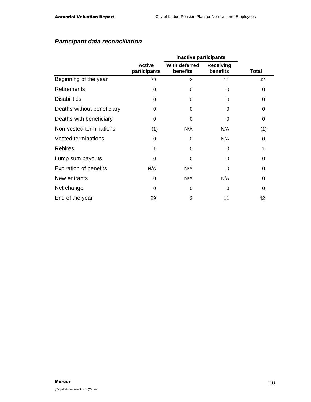### **Participant data reconciliation**

|                               |                               | <b>Inactive participants</b> |                       |              |
|-------------------------------|-------------------------------|------------------------------|-----------------------|--------------|
|                               | <b>Active</b><br>participants | With deferred<br>benefits    | Receiving<br>benefits | <b>Total</b> |
| Beginning of the year         | 29                            | 2                            | 11                    | 42           |
| <b>Retirements</b>            | 0                             | 0                            | 0                     | 0            |
| <b>Disabilities</b>           | <sup>0</sup>                  | 0                            | 0                     | 0            |
| Deaths without beneficiary    | 0                             | 0                            | 0                     | 0            |
| Deaths with beneficiary       | 0                             | 0                            | 0                     | 0            |
| Non-vested terminations       | (1)                           | N/A                          | N/A                   | (1)          |
| <b>Vested terminations</b>    | 0                             | 0                            | N/A                   | 0            |
| <b>Rehires</b>                |                               | 0                            | 0                     |              |
| Lump sum payouts              | 0                             | 0                            | 0                     | 0            |
| <b>Expiration of benefits</b> | N/A                           | N/A                          | 0                     | 0            |
| New entrants                  | 0                             | N/A                          | N/A                   | 0            |
| Net change                    | 0                             | 0                            | 0                     | 0            |
| End of the year               | 29                            | 2                            | 11                    | 42           |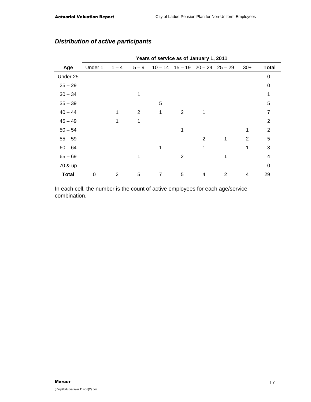|              |         |              |         | Years of service as of January 1, 2011 |   |                                         |   |                |                |
|--------------|---------|--------------|---------|----------------------------------------|---|-----------------------------------------|---|----------------|----------------|
| Age          | Under 1 | $1 - 4$      | $5 - 9$ |                                        |   | $10 - 14$ $15 - 19$ $20 - 24$ $25 - 29$ |   | $30+$          | <b>Total</b>   |
| Under 25     |         |              |         |                                        |   |                                         |   |                | 0              |
| $25 - 29$    |         |              |         |                                        |   |                                         |   |                | $\Omega$       |
| $30 - 34$    |         |              | 1       |                                        |   |                                         |   |                | 1              |
| $35 - 39$    |         |              |         | 5                                      |   |                                         |   |                | 5              |
| $40 - 44$    |         | $\mathbf{1}$ | 2       | 1                                      | 2 | 1                                       |   |                | $\overline{7}$ |
| $45 - 49$    |         | 1            | 1       |                                        |   |                                         |   |                | 2              |
| $50 - 54$    |         |              |         |                                        | 1 |                                         |   | 1              | $\overline{2}$ |
| $55 - 59$    |         |              |         |                                        |   | 2                                       | 1 | $\overline{2}$ | 5              |
| $60 - 64$    |         |              |         | 1                                      |   | 1                                       |   | 1              | 3              |
| $65 - 69$    |         |              | 1       |                                        | 2 |                                         | 1 |                | 4              |
| 70 & up      |         |              |         |                                        |   |                                         |   |                | $\Omega$       |
| <b>Total</b> | 0       | 2            | 5       | 7                                      | 5 | 4                                       | 2 | 4              | 29             |

### **Distribution of active participants**

In each cell, the number is the count of active employees for each age/service combination.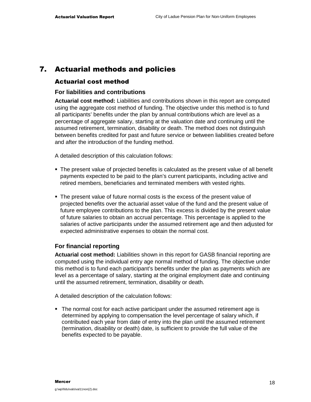### 7. Actuarial methods and policies

#### Actuarial cost method

#### **For liabilities and contributions**

**Actuarial cost method:** Liabilities and contributions shown in this report are computed using the aggregate cost method of funding. The objective under this method is to fund all participants' benefits under the plan by annual contributions which are level as a percentage of aggregate salary, starting at the valuation date and continuing until the assumed retirement, termination, disability or death. The method does not distinguish between benefits credited for past and future service or between liabilities created before and after the introduction of the funding method.

A detailed description of this calculation follows:

- The present value of projected benefits is calculated as the present value of all benefit payments expected to be paid to the plan's current participants, including active and retired members, beneficiaries and terminated members with vested rights.
- The present value of future normal costs is the excess of the present value of projected benefits over the actuarial asset value of the fund and the present value of future employee contributions to the plan. This excess is divided by the present value of future salaries to obtain an accrual percentage. This percentage is applied to the salaries of active participants under the assumed retirement age and then adjusted for expected administrative expenses to obtain the normal cost.

#### **For financial reporting**

**Actuarial cost method:** Liabilities shown in this report for GASB financial reporting are computed using the individual entry age normal method of funding. The objective under this method is to fund each participant's benefits under the plan as payments which are level as a percentage of salary, starting at the original employment date and continuing until the assumed retirement, termination, disability or death.

A detailed description of the calculation follows:

 The normal cost for each active participant under the assumed retirement age is determined by applying to compensation the level percentage of salary which, if contributed each year from date of entry into the plan until the assumed retirement (termination, disability or death) date, is sufficient to provide the full value of the benefits expected to be payable.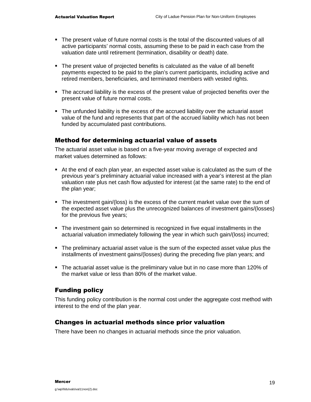- The present value of future normal costs is the total of the discounted values of all active participants' normal costs, assuming these to be paid in each case from the valuation date until retirement (termination, disability or death) date.
- The present value of projected benefits is calculated as the value of all benefit payments expected to be paid to the plan's current participants, including active and retired members, beneficiaries, and terminated members with vested rights.
- The accrued liability is the excess of the present value of projected benefits over the present value of future normal costs.
- The unfunded liability is the excess of the accrued liability over the actuarial asset value of the fund and represents that part of the accrued liability which has not been funded by accumulated past contributions.

#### Method for determining actuarial value of assets

The actuarial asset value is based on a five-year moving average of expected and market values determined as follows:

- At the end of each plan year, an expected asset value is calculated as the sum of the previous year's preliminary actuarial value increased with a year's interest at the plan valuation rate plus net cash flow adjusted for interest (at the same rate) to the end of the plan year;
- The investment gain/(loss) is the excess of the current market value over the sum of the expected asset value plus the unrecognized balances of investment gains/(losses) for the previous five years;
- The investment gain so determined is recognized in five equal installments in the actuarial valuation immediately following the year in which such gain/(loss) incurred;
- The preliminary actuarial asset value is the sum of the expected asset value plus the installments of investment gains/(losses) during the preceding five plan years; and
- The actuarial asset value is the preliminary value but in no case more than 120% of the market value or less than 80% of the market value.

#### Funding policy

This funding policy contribution is the normal cost under the aggregate cost method with interest to the end of the plan year.

#### Changes in actuarial methods since prior valuation

There have been no changes in actuarial methods since the prior valuation.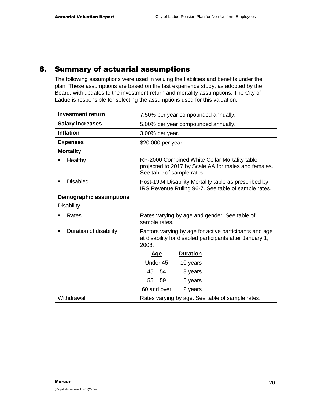### 8. Summary of actuarial assumptions

The following assumptions were used in valuing the liabilities and benefits under the plan. These assumptions are based on the last experience study, as adopted by the Board, with updates to the investment return and mortality assumptions. The City of Ladue is responsible for selecting the assumptions used for this valuation.

| <b>Investment return</b>       | 7.50% per year compounded annually.                                                                                                 |
|--------------------------------|-------------------------------------------------------------------------------------------------------------------------------------|
| <b>Salary increases</b>        | 5.00% per year compounded annually.                                                                                                 |
| <b>Inflation</b>               | 3.00% per year.                                                                                                                     |
| <b>Expenses</b>                | \$20,000 per year                                                                                                                   |
| <b>Mortality</b>               |                                                                                                                                     |
| Healthy                        | RP-2000 Combined White Collar Mortality table<br>projected to 2017 by Scale AA for males and females.<br>See table of sample rates. |
| <b>Disabled</b>                | Post-1994 Disability Mortality table as prescribed by<br>IRS Revenue Ruling 96-7. See table of sample rates.                        |
| <b>Demographic assumptions</b> |                                                                                                                                     |
| <b>Disability</b>              |                                                                                                                                     |
| Rates                          | Rates varying by age and gender. See table of<br>sample rates.                                                                      |
| Duration of disability         | Factors varying by age for active participants and age<br>at disability for disabled participants after January 1,<br>2008.         |
|                                | <b>Duration</b><br><u>Age</u>                                                                                                       |
|                                | Under 45<br>10 years                                                                                                                |
|                                | $45 - 54$<br>8 years                                                                                                                |
|                                | $55 - 59$<br>5 years                                                                                                                |
|                                | 60 and over<br>2 years                                                                                                              |
| Withdrawal                     | Rates varying by age. See table of sample rates.                                                                                    |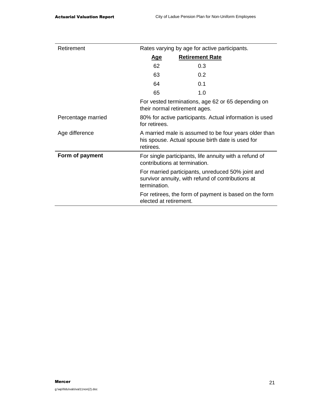| Retirement         | Rates varying by age for active participants.                            |                                                                                                           |  |
|--------------------|--------------------------------------------------------------------------|-----------------------------------------------------------------------------------------------------------|--|
|                    | <u>Age</u>                                                               | <b>Retirement Rate</b>                                                                                    |  |
|                    | 62                                                                       | 0.3                                                                                                       |  |
|                    | 63                                                                       | 0.2                                                                                                       |  |
|                    | 64                                                                       | 0.1                                                                                                       |  |
|                    | 65                                                                       | 1.0                                                                                                       |  |
|                    |                                                                          | For vested terminations, age 62 or 65 depending on<br>their normal retirement ages.                       |  |
| Percentage married | 80% for active participants. Actual information is used<br>for retirees. |                                                                                                           |  |
| Age difference     | retirees.                                                                | A married male is assumed to be four years older than<br>his spouse. Actual spouse birth date is used for |  |
| Form of payment    | contributions at termination.                                            | For single participants, life annuity with a refund of                                                    |  |
|                    | termination.                                                             | For married participants, unreduced 50% joint and<br>survivor annuity, with refund of contributions at    |  |
|                    | elected at retirement.                                                   | For retirees, the form of payment is based on the form                                                    |  |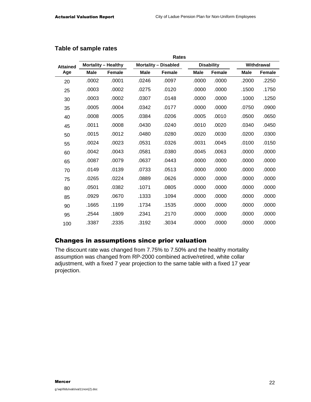#### **Table of sample rates**

|                 |             |                            |             | <b>Rates</b>                |             |                   |             |               |
|-----------------|-------------|----------------------------|-------------|-----------------------------|-------------|-------------------|-------------|---------------|
| <b>Attained</b> |             | <b>Mortality - Healthy</b> |             | <b>Mortality - Disabled</b> |             | <b>Disability</b> |             | Withdrawal    |
| Age             | <b>Male</b> | <b>Female</b>              | <b>Male</b> | <b>Female</b>               | <b>Male</b> | <b>Female</b>     | <b>Male</b> | <b>Female</b> |
| 20              | .0002       | .0001                      | .0246       | .0097                       | .0000       | .0000             | .2000       | .2250         |
| 25              | .0003       | .0002                      | .0275       | .0120                       | .0000       | .0000             | .1500       | .1750         |
| 30              | .0003       | .0002                      | .0307       | .0148                       | .0000       | .0000             | .1000       | .1250         |
| 35              | .0005       | .0004                      | .0342       | .0177                       | .0000       | .0000             | .0750       | .0900         |
| 40              | .0008       | .0005                      | .0384       | .0206                       | .0005       | .0010             | .0500       | .0650         |
| 45              | .0011       | .0008                      | .0430       | .0240                       | .0010       | .0020             | .0340       | .0450         |
| 50              | .0015       | .0012                      | .0480       | .0280                       | .0020       | .0030             | .0200       | .0300         |
| 55              | .0024       | .0023                      | .0531       | .0326                       | .0031       | .0045             | .0100       | .0150         |
| 60              | .0042       | .0043                      | .0581       | .0380                       | .0045       | .0063             | .0000       | .0000         |
| 65              | .0087       | .0079                      | .0637       | .0443                       | .0000       | .0000             | .0000       | .0000         |
| 70              | .0149       | .0139                      | .0733       | .0513                       | .0000       | .0000             | .0000       | .0000         |
| 75              | .0265       | .0224                      | .0889       | .0626                       | .0000       | .0000             | .0000       | .0000         |
| 80              | .0501       | .0382                      | .1071       | .0805                       | .0000       | .0000             | .0000       | .0000         |
| 85              | .0929       | .0670                      | .1333       | .1094                       | .0000       | .0000             | .0000       | .0000         |
| 90              | .1665       | .1199                      | .1734       | .1535                       | .0000       | .0000             | .0000       | .0000         |
| 95              | .2544       | .1809                      | .2341       | .2170                       | .0000       | .0000             | .0000       | .0000         |
| 100             | .3387       | .2335                      | .3192       | .3034                       | .0000       | .0000             | .0000       | .0000         |

### Changes in assumptions since prior valuation

The discount rate was changed from 7.75% to 7.50% and the healthy mortality assumption was changed from RP-2000 combined active/retired, white collar adjustment, with a fixed 7 year projection to the same table with a fixed 17 year projection.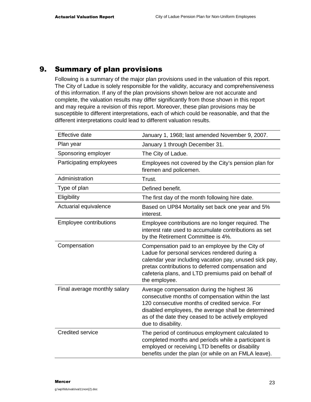### 9. Summary of plan provisions

Following is a summary of the major plan provisions used in the valuation of this report. The City of Ladue is solely responsible for the validity, accuracy and comprehensiveness of this information. If any of the plan provisions shown below are not accurate and complete, the valuation results may differ significantly from those shown in this report and may require a revision of this report. Moreover, these plan provisions may be susceptible to different interpretations, each of which could be reasonable, and that the different interpretations could lead to different valuation results.

| <b>Effective date</b>         | January 1, 1968; last amended November 9, 2007.                                                                                                                                                                                                                                         |
|-------------------------------|-----------------------------------------------------------------------------------------------------------------------------------------------------------------------------------------------------------------------------------------------------------------------------------------|
| Plan year                     | January 1 through December 31.                                                                                                                                                                                                                                                          |
| Sponsoring employer           | The City of Ladue.                                                                                                                                                                                                                                                                      |
| Participating employees       | Employees not covered by the City's pension plan for<br>firemen and policemen.                                                                                                                                                                                                          |
| Administration                | Trust.                                                                                                                                                                                                                                                                                  |
| Type of plan                  | Defined benefit.                                                                                                                                                                                                                                                                        |
| Eligibility                   | The first day of the month following hire date.                                                                                                                                                                                                                                         |
| Actuarial equivalence         | Based on UP84 Mortality set back one year and 5%<br>interest.                                                                                                                                                                                                                           |
| <b>Employee contributions</b> | Employee contributions are no longer required. The<br>interest rate used to accumulate contributions as set<br>by the Retirement Committee is 4%.                                                                                                                                       |
| Compensation                  | Compensation paid to an employee by the City of<br>Ladue for personal services rendered during a<br>calendar year including vacation pay, unused sick pay,<br>pretax contributions to deferred compensation and<br>cafeteria plans, and LTD premiums paid on behalf of<br>the employee. |
| Final average monthly salary  | Average compensation during the highest 36<br>consecutive months of compensation within the last<br>120 consecutive months of credited service. For<br>disabled employees, the average shall be determined<br>as of the date they ceased to be actively employed<br>due to disability.  |
| <b>Credited service</b>       | The period of continuous employment calculated to<br>completed months and periods while a participant is<br>employed or receiving LTD benefits or disability<br>benefits under the plan (or while on an FMLA leave).                                                                    |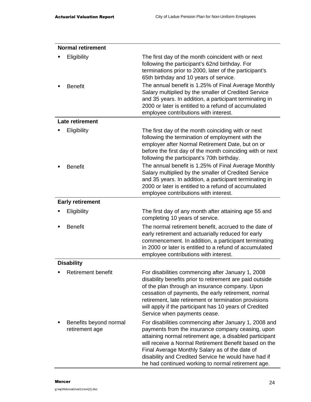| <b>Normal retirement</b>                 |                                                                                                                                                                                                                                                                                                                                                                                                |
|------------------------------------------|------------------------------------------------------------------------------------------------------------------------------------------------------------------------------------------------------------------------------------------------------------------------------------------------------------------------------------------------------------------------------------------------|
| Eligibility                              | The first day of the month coincident with or next<br>following the participant's 62nd birthday. For<br>terminations prior to 2000, later of the participant's<br>65th birthday and 10 years of service.                                                                                                                                                                                       |
| <b>Benefit</b>                           | The annual benefit is 1.25% of Final Average Monthly<br>Salary multiplied by the smaller of Credited Service<br>and 35 years. In addition, a participant terminating in<br>2000 or later is entitled to a refund of accumulated<br>employee contributions with interest.                                                                                                                       |
| <b>Late retirement</b>                   |                                                                                                                                                                                                                                                                                                                                                                                                |
| Eligibility                              | The first day of the month coinciding with or next<br>following the termination of employment with the<br>employer after Normal Retirement Date, but on or<br>before the first day of the month coinciding with or next<br>following the participant's 70th birthday.                                                                                                                          |
| <b>Benefit</b>                           | The annual benefit is 1.25% of Final Average Monthly<br>Salary multiplied by the smaller of Credited Service<br>and 35 years. In addition, a participant terminating in<br>2000 or later is entitled to a refund of accumulated<br>employee contributions with interest.                                                                                                                       |
| <b>Early retirement</b>                  |                                                                                                                                                                                                                                                                                                                                                                                                |
| Eligibility                              | The first day of any month after attaining age 55 and<br>completing 10 years of service.                                                                                                                                                                                                                                                                                                       |
| <b>Benefit</b>                           | The normal retirement benefit, accrued to the date of<br>early retirement and actuarially reduced for early<br>commencement. In addition, a participant terminating<br>in 2000 or later is entitled to a refund of accumulated<br>employee contributions with interest.                                                                                                                        |
| <b>Disability</b>                        |                                                                                                                                                                                                                                                                                                                                                                                                |
| <b>Retirement benefit</b>                | For disabilities commencing after January 1, 2008<br>disability benefits prior to retirement are paid outside<br>of the plan through an insurance company. Upon<br>cessation of payments, the early retirement, normal<br>retirement, late retirement or termination provisions<br>will apply if the participant has 10 years of Credited<br>Service when payments cease.                      |
| Benefits beyond normal<br>retirement age | For disabilities commencing after January 1, 2008 and<br>payments from the insurance company ceasing, upon<br>attaining normal retirement age, a disabled participant<br>will receive a Normal Retirement Benefit based on the<br>Final Average Monthly Salary as of the date of<br>disability and Credited Service he would have had if<br>he had continued working to normal retirement age. |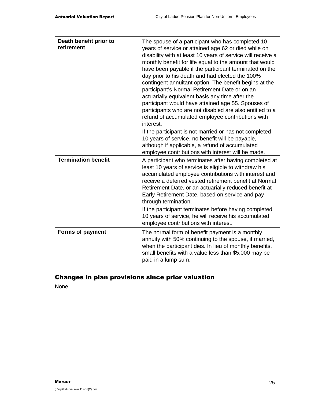| Death benefit prior to<br>retirement | The spouse of a participant who has completed 10<br>years of service or attained age 62 or died while on<br>disability with at least 10 years of service will receive a<br>monthly benefit for life equal to the amount that would<br>have been payable if the participant terminated on the<br>day prior to his death and had elected the 100%<br>contingent annuitant option. The benefit begins at the<br>participant's Normal Retirement Date or on an<br>actuarially equivalent basis any time after the<br>participant would have attained age 55. Spouses of<br>participants who are not disabled are also entitled to a<br>refund of accumulated employee contributions with<br>interest.<br>If the participant is not married or has not completed<br>10 years of service, no benefit will be payable, |
|--------------------------------------|-----------------------------------------------------------------------------------------------------------------------------------------------------------------------------------------------------------------------------------------------------------------------------------------------------------------------------------------------------------------------------------------------------------------------------------------------------------------------------------------------------------------------------------------------------------------------------------------------------------------------------------------------------------------------------------------------------------------------------------------------------------------------------------------------------------------|
|                                      | although if applicable, a refund of accumulated<br>employee contributions with interest will be made.                                                                                                                                                                                                                                                                                                                                                                                                                                                                                                                                                                                                                                                                                                           |
| <b>Termination benefit</b>           | A participant who terminates after having completed at<br>least 10 years of service is eligible to withdraw his<br>accumulated employee contributions with interest and<br>receive a deferred vested retirement benefit at Normal<br>Retirement Date, or an actuarially reduced benefit at<br>Early Retirement Date, based on service and pay<br>through termination.                                                                                                                                                                                                                                                                                                                                                                                                                                           |
|                                      | If the participant terminates before having completed<br>10 years of service, he will receive his accumulated<br>employee contributions with interest.                                                                                                                                                                                                                                                                                                                                                                                                                                                                                                                                                                                                                                                          |
| Forms of payment                     | The normal form of benefit payment is a monthly<br>annuity with 50% continuing to the spouse, if married,<br>when the participant dies. In lieu of monthly benefits,<br>small benefits with a value less than \$5,000 may be<br>paid in a lump sum.                                                                                                                                                                                                                                                                                                                                                                                                                                                                                                                                                             |

### Changes in plan provisions since prior valuation

None.